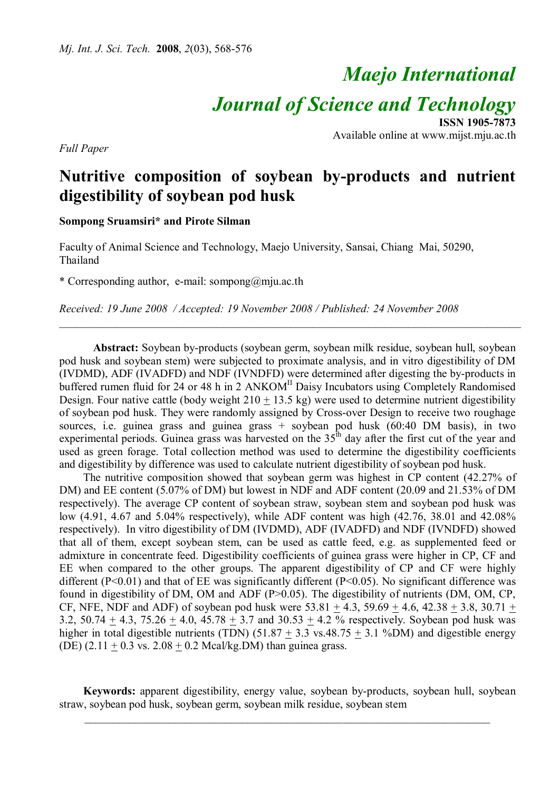# *Maejo International*

*Journal of Science and Technology*

**ISSN 1905-7873** Available online at www.mijst.mju.ac.th

**Nutritive composition of soybean by-products and nutrient digestibility of soybean pod husk**

**Sompong Sruamsiri\* and Pirote Silman**

*Full Paper*

Faculty of Animal Science and Technology, Maejo University, Sansai, Chiang Mai, 50290, Thailand

\* Corresponding author, e-mail: sompong@mju.ac.th

*Received: 19 June 2008 / Accepted: 19 November 2008 / Published: 24 November 2008*

**Abstract:** Soybean by-products (soybean germ, soybean milk residue, soybean hull, soybean pod husk and soybean stem) were subjected to proximate analysis, and in vitro digestibility of DM (IVDMD), ADF (IVADFD) and NDF (IVNDFD) were determined after digesting the by-products in buffered rumen fluid for 24 or 48 h in 2 ANKOM<sup>II</sup> Daisy Incubators using Completely Randomised Design. Four native cattle (body weight  $210 + 13.5$  kg) were used to determine nutrient digestibility of soybean pod husk. They were randomly assigned by Cross-over Design to receive two roughage sources, i.e. guinea grass and guinea grass + soybean pod husk (60:40 DM basis), in two experimental periods. Guinea grass was harvested on the  $35<sup>th</sup>$  day after the first cut of the year and used as green forage. Total collection method was used to determine the digestibility coefficients and digestibility by difference was used to calculate nutrient digestibility of soybean pod husk.

\_\_\_\_\_\_\_\_\_\_\_\_\_\_\_\_\_\_\_\_\_\_\_\_\_\_\_\_\_\_\_\_\_\_\_\_\_\_\_\_\_\_\_\_\_\_\_\_\_\_\_\_\_\_\_\_\_\_\_\_\_\_\_\_\_\_\_\_\_\_\_\_\_\_\_\_\_\_\_\_\_\_

The nutritive composition showed that soybean germ was highest in CP content (42.27% of DM) and EE content (5.07% of DM) but lowest in NDF and ADF content (20.09 and 21.53% of DM respectively). The average CP content of soybean straw, soybean stem and soybean pod husk was low (4.91, 4.67 and 5.04% respectively), while ADF content was high (42.76, 38.01 and 42.08% respectively). In vitro digestibility of DM (IVDMD), ADF (IVADFD) and NDF (IVNDFD) showed that all of them, except soybean stem, can be used as cattle feed, e.g. as supplemented feed or admixture in concentrate feed. Digestibility coefficients of guinea grass were higher in CP, CF and EE when compared to the other groups. The apparent digestibility of CP and CF were highly different (P<0.01) and that of EE was significantly different (P<0.05). No significant difference was found in digestibility of DM, OM and ADF (P>0.05). The digestibility of nutrients (DM, OM, CP, CF, NFE, NDF and ADF) of soybean pod husk were  $53.81 \pm 4.3$ ,  $59.69 \pm 4.6$ ,  $42.38 \pm 3.8$ ,  $30.71 \pm 4.6$ 3.2, 50.74  $\pm$  4.3, 75.26  $\pm$  4.0, 45.78  $\pm$  3.7 and 30.53  $\pm$  4.2 % respectively. Soybean pod husk was higher in total digestible nutrients (TDN)  $(51.87 + 3.3 \text{ vs. } 48.75 + 3.1 \text{ %}DM)$  and digestible energy (DE)  $(2.11 + 0.3 \text{ vs. } 2.08 + 0.2 \text{ Meal/kg} \text{ D/M})$  than guinea grass.

**Keywords:** apparent digestibility, energy value, soybean by-products, soybean hull, soybean straw, soybean pod husk, soybean germ, soybean milk residue, soybean stem

 $\_$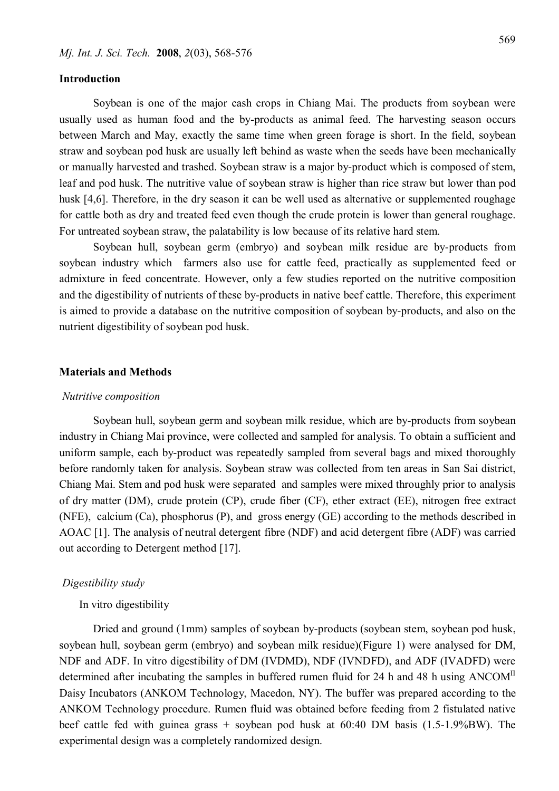# **Introduction**

Soybean is one of the major cash crops in Chiang Mai. The products from soybean were usually used as human food and the by-products as animal feed. The harvesting season occurs between March and May, exactly the same time when green forage is short. In the field, soybean straw and soybean pod husk are usually left behind as waste when the seeds have been mechanically or manually harvested and trashed. Soybean straw is a major by-product which is composed of stem, leaf and pod husk. The nutritive value of soybean straw is higher than rice straw but lower than pod husk [4,6]. Therefore, in the dry season it can be well used as alternative or supplemented roughage for cattle both as dry and treated feed even though the crude protein is lower than general roughage. For untreated soybean straw, the palatability is low because of its relative hard stem.

Soybean hull, soybean germ (embryo) and soybean milk residue are by-products from soybean industry which farmers also use for cattle feed, practically as supplemented feed or admixture in feed concentrate. However, only a few studies reported on the nutritive composition and the digestibility of nutrients of these by-products in native beef cattle. Therefore, this experiment is aimed to provide a database on the nutritive composition of soybean by-products, and also on the nutrient digestibility of soybean pod husk.

#### **Materials and Methods**

### *Nutritive composition*

Soybean hull, soybean germ and soybean milk residue, which are by-products from soybean industry in Chiang Mai province, were collected and sampled for analysis. To obtain a sufficient and uniform sample, each by-product was repeatedly sampled from several bags and mixed thoroughly before randomly taken for analysis. Soybean straw was collected from ten areas in San Sai district, Chiang Mai. Stem and pod husk were separated and samples were mixed throughly prior to analysis of dry matter (DM), crude protein (CP), crude fiber (CF), ether extract (EE), nitrogen free extract (NFE), calcium (Ca), phosphorus (P), and gross energy (GE) according to the methods described in AOAC [1]. The analysis of neutral detergent fibre (NDF) and acid detergent fibre (ADF) was carried out according to Detergent method [17].

## *Digestibility study*

In vitro digestibility

Dried and ground (1mm) samples of soybean by-products (soybean stem, soybean pod husk, soybean hull, soybean germ (embryo) and soybean milk residue)(Figure 1) were analysed for DM, NDF and ADF. In vitro digestibility of DM (IVDMD), NDF (IVNDFD), and ADF (IVADFD) were determined after incubating the samples in buffered rumen fluid for 24 h and 48 h using ANCOM<sup>II</sup> Daisy Incubators (ANKOM Technology, Macedon, NY). The buffer was prepared according to the ANKOM Technology procedure. Rumen fluid was obtained before feeding from 2 fistulated native beef cattle fed with guinea grass + soybean pod husk at 60:40 DM basis (1.5-1.9%BW). The experimental design was a completely randomized design.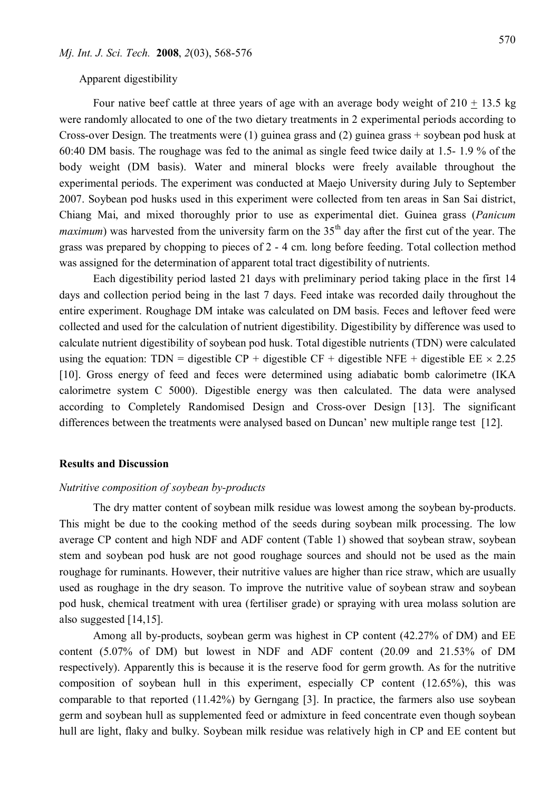Apparent digestibility

Four native beef cattle at three years of age with an average body weight of  $210 + 13.5$  kg were randomly allocated to one of the two dietary treatments in 2 experimental periods according to Cross-over Design. The treatments were (1) guinea grass and (2) guinea grass + soybean pod husk at 60:40 DM basis. The roughage was fed to the animal as single feed twice daily at 1.5- 1.9 % of the body weight (DM basis). Water and mineral blocks were freely available throughout the experimental periods. The experiment was conducted at Maejo University during July to September 2007. Soybean pod husks used in this experiment were collected from ten areas in San Sai district, Chiang Mai, and mixed thoroughly prior to use as experimental diet. Guinea grass (*Panicum maximum*) was harvested from the university farm on the  $35<sup>th</sup>$  day after the first cut of the year. The grass was prepared by chopping to pieces of 2 - 4 cm. long before feeding. Total collection method was assigned for the determination of apparent total tract digestibility of nutrients.

Each digestibility period lasted 21 days with preliminary period taking place in the first 14 days and collection period being in the last 7 days. Feed intake was recorded daily throughout the entire experiment. Roughage DM intake was calculated on DM basis. Feces and leftover feed were collected and used for the calculation of nutrient digestibility. Digestibility by difference was used to calculate nutrient digestibility of soybean pod husk. Total digestible nutrients (TDN) were calculated using the equation: TDN = digestible CP + digestible CF + digestible NFE + digestible EE  $\times$  2.25 [10]. Gross energy of feed and feces were determined using adiabatic bomb calorimetre (IKA calorimetre system C 5000). Digestible energy was then calculated. The data were analysed according to Completely Randomised Design and Cross-over Design [13]. The significant differences between the treatments were analysed based on Duncan' new multiple range test [12].

## **Results and Discussion**

## *Nutritive composition of soybean by-products*

The dry matter content of soybean milk residue was lowest among the soybean by-products. This might be due to the cooking method of the seeds during soybean milk processing. The low average CP content and high NDF and ADF content (Table 1) showed that soybean straw, soybean stem and soybean pod husk are not good roughage sources and should not be used as the main roughage for ruminants. However, their nutritive values are higher than rice straw, which are usually used as roughage in the dry season. To improve the nutritive value of soybean straw and soybean pod husk, chemical treatment with urea (fertiliser grade) or spraying with urea molass solution are also suggested [14,15].

Among all by-products, soybean germ was highest in CP content (42.27% of DM) and EE content (5.07% of DM) but lowest in NDF and ADF content (20.09 and 21.53% of DM respectively). Apparently this is because it is the reserve food for germ growth. As for the nutritive composition of soybean hull in this experiment, especially CP content (12.65%), this was comparable to that reported (11.42%) by Gerngang [3]. In practice, the farmers also use soybean germ and soybean hull as supplemented feed or admixture in feed concentrate even though soybean hull are light, flaky and bulky. Soybean milk residue was relatively high in CP and EE content but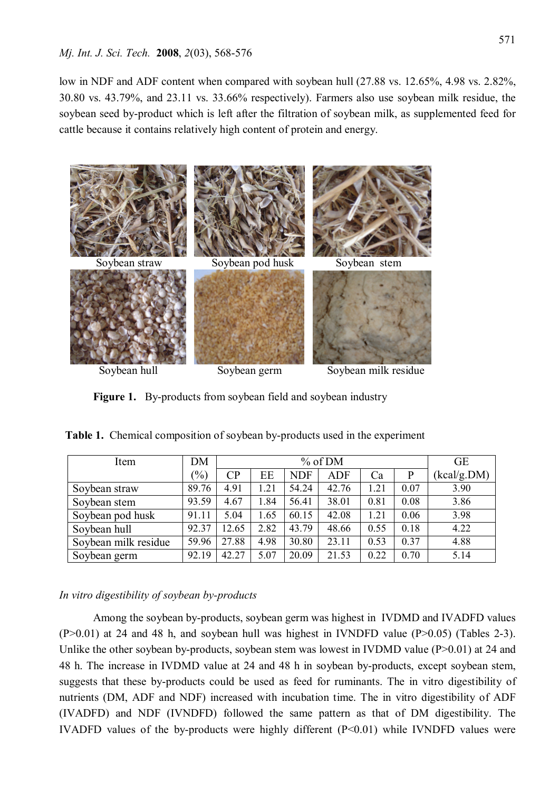low in NDF and ADF content when compared with soybean hull (27.88 vs. 12.65%, 4.98 vs. 2.82%, 30.80 vs. 43.79%, and 23.11 vs. 33.66% respectively). Farmers also use soybean milk residue, the soybean seed by-product which is left after the filtration of soybean milk, as supplemented feed for cattle because it contains relatively high content of protein and energy.



**Figure 1.** By-products from soybean field and soybean industry

| Item                 | DM              | % of DM         |      |            |            | <b>GE</b> |      |             |
|----------------------|-----------------|-----------------|------|------------|------------|-----------|------|-------------|
|                      | $\frac{(0)}{0}$ | $\overline{CP}$ | EE   | <b>NDF</b> | <b>ADF</b> | Ca        | P    | (kcal/g.DM) |
| Soybean straw        | 89.76           | 4.91            | 1.21 | 54.24      | 42.76      | 1.21      | 0.07 | 3.90        |
| Soybean stem         | 93.59           | 4.67            | 1.84 | 56.41      | 38.01      | 0.81      | 0.08 | 3.86        |
| Soybean pod husk     | 91.11           | 5.04            | 1.65 | 60.15      | 42.08      | 1.21      | 0.06 | 3.98        |
| Soybean hull         | 92.37           | 12.65           | 2.82 | 43.79      | 48.66      | 0.55      | 0.18 | 4.22        |
| Soybean milk residue | 59.96           | 27.88           | 4.98 | 30.80      | 23.11      | 0.53      | 0.37 | 4.88        |
| Soybean germ         | 92.19           | 42.27           | 5.07 | 20.09      | 21.53      | 0.22      | 0.70 | 5.14        |

 **Table 1.** Chemical composition of soybean by-products used in the experiment

# *In vitro digestibility of soybean by-products*

Among the soybean by-products, soybean germ was highest in IVDMD and IVADFD values  $(P>0.01)$  at 24 and 48 h, and soybean hull was highest in IVNDFD value  $(P>0.05)$  (Tables 2-3). Unlike the other soybean by-products, soybean stem was lowest in IVDMD value (P $>0.01$ ) at 24 and 48 h. The increase in IVDMD value at 24 and 48 h in soybean by-products, except soybean stem, suggests that these by-products could be used as feed for ruminants. The in vitro digestibility of nutrients (DM, ADF and NDF) increased with incubation time. The in vitro digestibility of ADF (IVADFD) and NDF (IVNDFD) followed the same pattern as that of DM digestibility. The IVADFD values of the by-products were highly different  $(P<0.01)$  while IVNDFD values were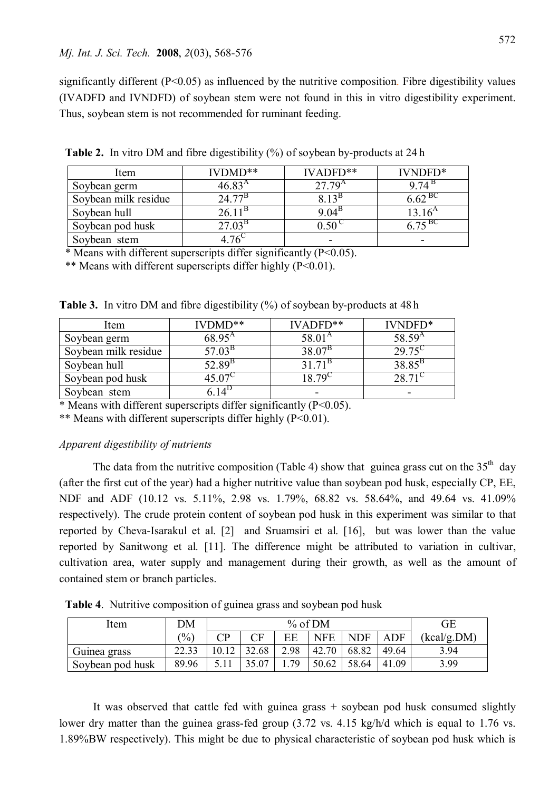significantly different (P<0.05) as influenced by the nutritive composition. Fibre digestibility values (IVADFD and IVNDFD) of soybean stem were not found in this in vitro digestibility experiment. Thus, soybean stem is not recommended for ruminant feeding.

| Item                 | $IVDMD**$        | $IVADFD**$          | IVNDFD*         |
|----------------------|------------------|---------------------|-----------------|
| Soybean germ         | 46.83 $^{\rm A}$ | $27.79^{A}$         | $9.74^{\circ}$  |
| Soybean milk residue | $24.77^{\rm B}$  | 8 1 2 <sup>15</sup> | $6.62^{BC}$     |
| Soybean hull         | $26.11^{\circ}$  | $9.04^{\circ}$      | $13.16^{\rm A}$ |
| Soybean pod husk     | $27.03^{\rm B}$  | 0.50                | 6.75 BC         |
| Soybean stem         |                  |                     |                 |

**Table 2.** In vitro DM and fibre digestibility (%) of soybean by-products at 24 h

\* Means with different superscripts differ significantly  $(P<0.05)$ .

\*\* Means with different superscripts differ highly (P<0.01).

**Table 3.** In vitro DM and fibre digestibility (%) of soybean by-products at 48 h

| Item                 | $IVDMD**$          | IVADFD**          | IVNDFD*         |
|----------------------|--------------------|-------------------|-----------------|
| Soybean germ         | $68.95^{\text{A}}$ | $58.01^{\rm A}$   | $58.59^{A}$     |
| Soybean milk residue | $57.03^{\rm B}$    | $38.07^{B}$       | $29.75^{\circ}$ |
| Soybean hull         | $52.89^{\rm B}$    | $31.71^{\rm B}$   | $38.85^{B}$     |
| Soybean pod husk     | 15 N7Y             | 8.70 <sup>t</sup> | 28.71           |
| Soybean stem         |                    | -                 |                 |

 $*$  Means with different superscripts differ significantly ( $P \le 0.05$ ).

\*\* Means with different superscripts differ highly (P<0.01).

# *Apparent digestibility of nutrients*

The data from the nutritive composition (Table 4) show that guinea grass cut on the  $35<sup>th</sup>$  day (after the first cut of the year) had a higher nutritive value than soybean pod husk, especially CP, EE, NDF and ADF (10.12 vs. 5.11%, 2.98 vs. 1.79%, 68.82 vs. 58.64%, and 49.64 vs. 41.09% respectively). The crude protein content of soybean pod husk in this experiment was similar to that reported by Cheva-Isarakul et al. [2] and Sruamsiri et al. [16], but was lower than the value reported by Sanitwong et al. [11]. The difference might be attributed to variation in cultivar, cultivation area, water supply and management during their growth, as well as the amount of contained stem or branch particles.

 **Table 4**. Nutritive composition of guinea grass and soybean pod husk

| ltem             | DM    | % of DM      |                                                                   |      |            | GЕ         |            |             |
|------------------|-------|--------------|-------------------------------------------------------------------|------|------------|------------|------------|-------------|
|                  |       | $\mathbf{D}$ | $\mathbin{{}^\sim}\mathrel{{}\mathrel{{}^\sim}}\mathrel{{}^\sim}$ | EE   | <b>NFE</b> | <b>NDF</b> | ADF        | (kcal/g.DM) |
| Guinea grass     |       | 10.12        | 32.68                                                             | 2.98 | 42.70      | 68.82      | 49.64      | 3.94        |
| Soybean pod husk | 89.96 |              | 35.07                                                             | .79  | 50.62      | 58.64      | -09<br>-41 | 3.99        |

It was observed that cattle fed with guinea grass + soybean pod husk consumed slightly lower dry matter than the guinea grass-fed group (3.72 vs. 4.15 kg/h/d which is equal to 1.76 vs. 1.89%BW respectively). This might be due to physical characteristic of soybean pod husk which is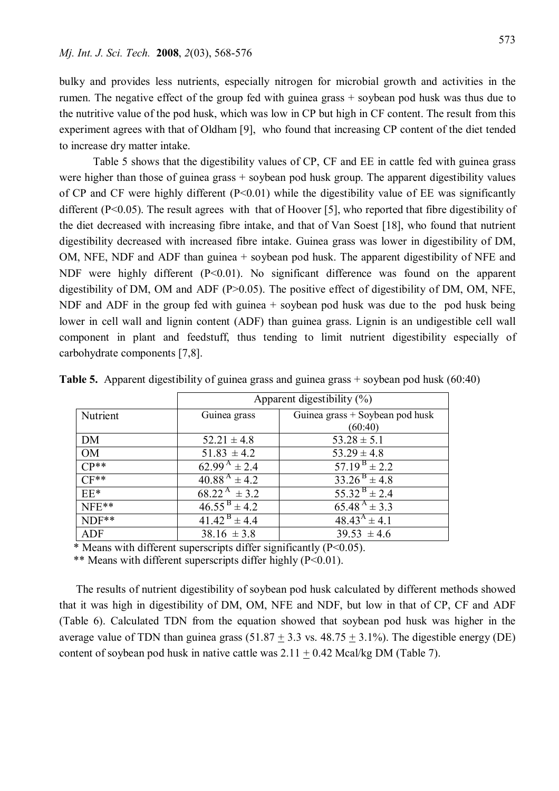bulky and provides less nutrients, especially nitrogen for microbial growth and activities in the rumen. The negative effect of the group fed with guinea grass + soybean pod husk was thus due to the nutritive value of the pod husk, which was low in CP but high in CF content. The result from this experiment agrees with that of Oldham [9], who found that increasing CP content of the diet tended to increase dry matter intake.

Table 5 shows that the digestibility values of CP, CF and EE in cattle fed with guinea grass were higher than those of guinea grass + soybean pod husk group. The apparent digestibility values of CP and CF were highly different  $(P<0.01)$  while the digestibility value of EE was significantly different (P<0.05). The result agrees with that of Hoover [5], who reported that fibre digestibility of the diet decreased with increasing fibre intake, and that of Van Soest [18], who found that nutrient digestibility decreased with increased fibre intake. Guinea grass was lower in digestibility of DM, OM, NFE, NDF and ADF than guinea + soybean pod husk. The apparent digestibility of NFE and NDF were highly different (P<0.01). No significant difference was found on the apparent digestibility of DM, OM and ADF (P>0.05). The positive effect of digestibility of DM, OM, NFE, NDF and ADF in the group fed with guinea + soybean pod husk was due to the pod husk being lower in cell wall and lignin content (ADF) than guinea grass. Lignin is an undigestible cell wall component in plant and feedstuff, thus tending to limit nutrient digestibility especially of carbohydrate components [7,8].

|            | Apparent digestibility $(\%)$ |                                   |  |  |  |
|------------|-------------------------------|-----------------------------------|--|--|--|
| Nutrient   | Guinea grass                  | Guinea grass $+$ Soybean pod husk |  |  |  |
|            |                               | (60:40)                           |  |  |  |
| DM         | $52.21 \pm 4.8$               | $53.28 \pm 5.1$                   |  |  |  |
| OM         | $51.83 \pm 4.2$               | $53.29 \pm 4.8$                   |  |  |  |
| $CP**$     | 62.99 <sup>A</sup> $\pm$ 2.4  | $57.19^{B} \pm 2.2$               |  |  |  |
| $CF**$     | $40.88^{A} \pm 4.2$           | $33.26^{B} \pm 4.8$               |  |  |  |
| $EE*$      | $68.22^{\text{A}} \pm 3.2$    | $55.32^{B} \pm 2.4$               |  |  |  |
| NFE**      | $46.55^{B} \pm 4.2$           | $65.48 \frac{A}{4} \pm 3.3$       |  |  |  |
| $NDF**$    | $41.42^{\text{B}} \pm 4.4$    | $48.43^{A} \pm 4.1$               |  |  |  |
| <b>ADF</b> | $38.16 \pm 3.8$               | $39.53 \pm 4.6$                   |  |  |  |

**Table 5.** Apparent digestibility of guinea grass and guinea grass + soybean pod husk (60:40)

 $*$  Means with different superscripts differ significantly (P<0.05).

\*\* Means with different superscripts differ highly (P<0.01).

The results of nutrient digestibility of soybean pod husk calculated by different methods showed that it was high in digestibility of DM, OM, NFE and NDF, but low in that of CP, CF and ADF (Table 6). Calculated TDN from the equation showed that soybean pod husk was higher in the average value of TDN than guinea grass  $(51.87 \pm 3.3 \text{ vs. } 48.75 \pm 3.1\%)$ . The digestible energy (DE) content of soybean pod husk in native cattle was  $2.11 + 0.42$  Mcal/kg DM (Table 7).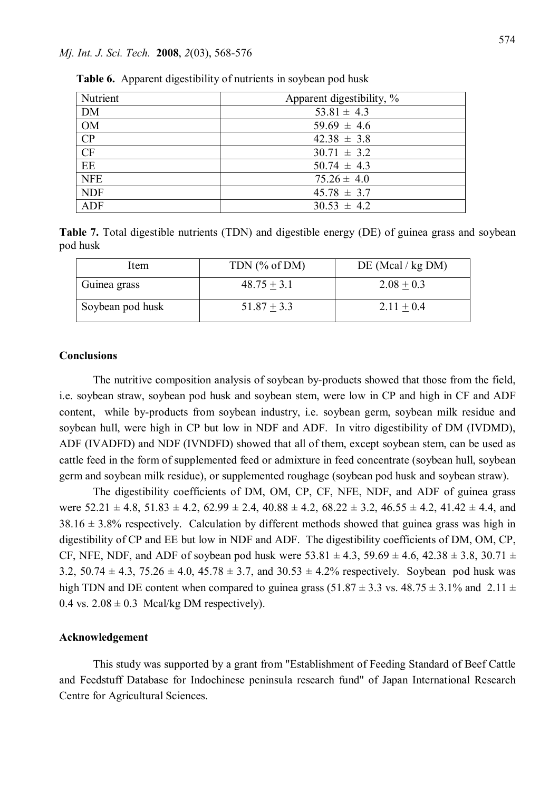## *Mj. Int. J. Sci. Tech.* **2008**, *2*(03), 568-576

| Nutrient   | Apparent digestibility, % |  |  |  |  |
|------------|---------------------------|--|--|--|--|
| DM         | $53.81 \pm 4.3$           |  |  |  |  |
| <b>OM</b>  | $59.69 \pm 4.6$           |  |  |  |  |
| CP         | $42.38 \pm 3.8$           |  |  |  |  |
| CF         | $30.71 \pm 3.2$           |  |  |  |  |
| EE         | $50.74 \pm 4.3$           |  |  |  |  |
| <b>NFE</b> | $75.26 \pm 4.0$           |  |  |  |  |
| <b>NDF</b> | $45.78 \pm 3.7$           |  |  |  |  |
| ADF        | $30.53 \pm 4.2$           |  |  |  |  |

 **Table 6.** Apparent digestibility of nutrients in soybean pod husk

**Table 7.** Total digestible nutrients (TDN) and digestible energy (DE) of guinea grass and soybean pod husk

| Item             | TDN $(\%$ of DM) | DE (Meal / kg DM) |
|------------------|------------------|-------------------|
| Guinea grass     | $48.75 + 3.1$    | $2.08 + 0.3$      |
| Soybean pod husk | $51.87 + 3.3$    | $2.11 + 0.4$      |

## **Conclusions**

The nutritive composition analysis of soybean by-products showed that those from the field, i.e. soybean straw, soybean pod husk and soybean stem, were low in CP and high in CF and ADF content, while by-products from soybean industry, i.e. soybean germ, soybean milk residue and soybean hull, were high in CP but low in NDF and ADF. In vitro digestibility of DM (IVDMD), ADF (IVADFD) and NDF (IVNDFD) showed that all of them, except soybean stem, can be used as cattle feed in the form of supplemented feed or admixture in feed concentrate (soybean hull, soybean germ and soybean milk residue), or supplemented roughage (soybean pod husk and soybean straw).

The digestibility coefficients of DM, OM, CP, CF, NFE, NDF, and ADF of guinea grass were  $52.21 \pm 4.8$ ,  $51.83 \pm 4.2$ ,  $62.99 \pm 2.4$ ,  $40.88 \pm 4.2$ ,  $68.22 \pm 3.2$ ,  $46.55 \pm 4.2$ ,  $41.42 \pm 4.4$ , and  $38.16 \pm 3.8\%$  respectively. Calculation by different methods showed that guinea grass was high in digestibility of CP and EE but low in NDF and ADF. The digestibility coefficients of DM, OM, CP, CF, NFE, NDF, and ADF of soybean pod husk were  $53.81 \pm 4.3$ ,  $59.69 \pm 4.6$ ,  $42.38 \pm 3.8$ ,  $30.71 \pm 1.6$ 3.2, 50.74  $\pm$  4.3, 75.26  $\pm$  4.0, 45.78  $\pm$  3.7, and 30.53  $\pm$  4.2% respectively. Soybean pod husk was high TDN and DE content when compared to guinea grass (51.87  $\pm$  3.3 vs. 48.75  $\pm$  3.1% and 2.11  $\pm$ 0.4 vs.  $2.08 \pm 0.3$  Mcal/kg DM respectively).

## **Acknowledgement**

This study was supported by a grant from "Establishment of Feeding Standard of Beef Cattle and Feedstuff Database for Indochinese peninsula research fund" of Japan International Research Centre for Agricultural Sciences.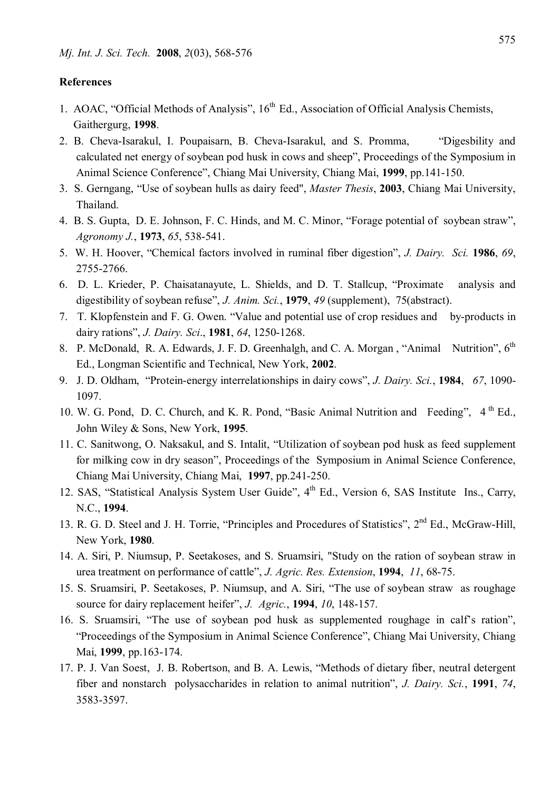## **References**

- 1. AOAC, "Official Methods of Analysis", 16<sup>th</sup> Ed., Association of Official Analysis Chemists, Gaithergurg, **1998**.
- 2. B. Cheva-Isarakul, I. Poupaisarn, B. Cheva-Isarakul, and S. Promma, "Digesbility and calculated net energy of soybean pod husk in cows and sheep", Proceedings of the Symposium in Animal Science Conference", Chiang Mai University, Chiang Mai, **1999**, pp.141-150.
- 3. S. Gerngang, "Use of soybean hulls as dairy feed", *Master Thesis*, **2003**, Chiang Mai University, Thailand.
- 4. B. S. Gupta, D. E. Johnson, F. C. Hinds, and M. C. Minor, "Forage potential of soybean straw", *Agronomy J.*, **1973**, *65*, 538-541.
- 5. W. H. Hoover, "Chemical factors involved in ruminal fiber digestion", *J. Dairy. Sci.* **1986**, *69*, 2755-2766.
- 6. D. L. Krieder, P. Chaisatanayute, L. Shields, and D. T. Stallcup, "Proximate analysis and digestibility of soybean refuse", *J. Anim. Sci.*, **1979**, *49* (supplement), 75(abstract).
- 7. T. Klopfenstein and F. G. Owen. "Value and potential use of crop residues and by-products in dairy rations", *J. Dairy. Sci*., **1981**, *64*, 1250-1268.
- 8. P. McDonald, R. A. Edwards, J. F. D. Greenhalgh, and C. A. Morgan, "Animal Nutrition", 6<sup>th</sup> Ed., Longman Scientific and Technical, New York, **2002**.
- 9. J. D. Oldham, "Protein-energy interrelationships in dairy cows", *J. Dairy. Sci.*, **1984**, *67*, 1090- 1097.
- 10. W. G. Pond, D. C. Church, and K. R. Pond, "Basic Animal Nutrition and Feeding",  $4<sup>th</sup> Ed.$ John Wiley & Sons, New York, **1995**.
- 11. C. Sanitwong, O. Naksakul, and S. Intalit, "Utilization of soybean pod husk as feed supplement for milking cow in dry season", Proceedings of the Symposium in Animal Science Conference, Chiang Mai University, Chiang Mai, **1997**, pp.241-250.
- 12. SAS, "Statistical Analysis System User Guide", 4<sup>th</sup> Ed., Version 6, SAS Institute Ins., Carry, N.C., **1994**.
- 13. R. G. D. Steel and J. H. Torrie, "Principles and Procedures of Statistics", 2<sup>nd</sup> Ed., McGraw-Hill, New York, **1980**.
- 14. A. Siri, P. Niumsup, P. Seetakoses, and S. Sruamsiri, "Study on the ration of soybean straw in urea treatment on performance of cattle", *J. Agric. Res. Extension*, **1994**, *11*, 68-75.
- 15. S. Sruamsiri, P. Seetakoses, P. Niumsup, and A. Siri, "The use of soybean straw as roughage source for dairy replacement heifer", *J. Agric.*, **1994**, *10*, 148-157.
- 16. S. Sruamsiri, "The use of soybean pod husk as supplemented roughage in calf's ration", "Proceedings of the Symposium in Animal Science Conference", Chiang Mai University, Chiang Mai, **1999**, pp.163-174.
- 17. P. J. Van Soest, J. B. Robertson, and B. A. Lewis, "Methods of dietary fiber, neutral detergent fiber and nonstarch polysaccharides in relation to animal nutrition", *J. Dairy. Sci.*, **1991**, *74*, 3583-3597.